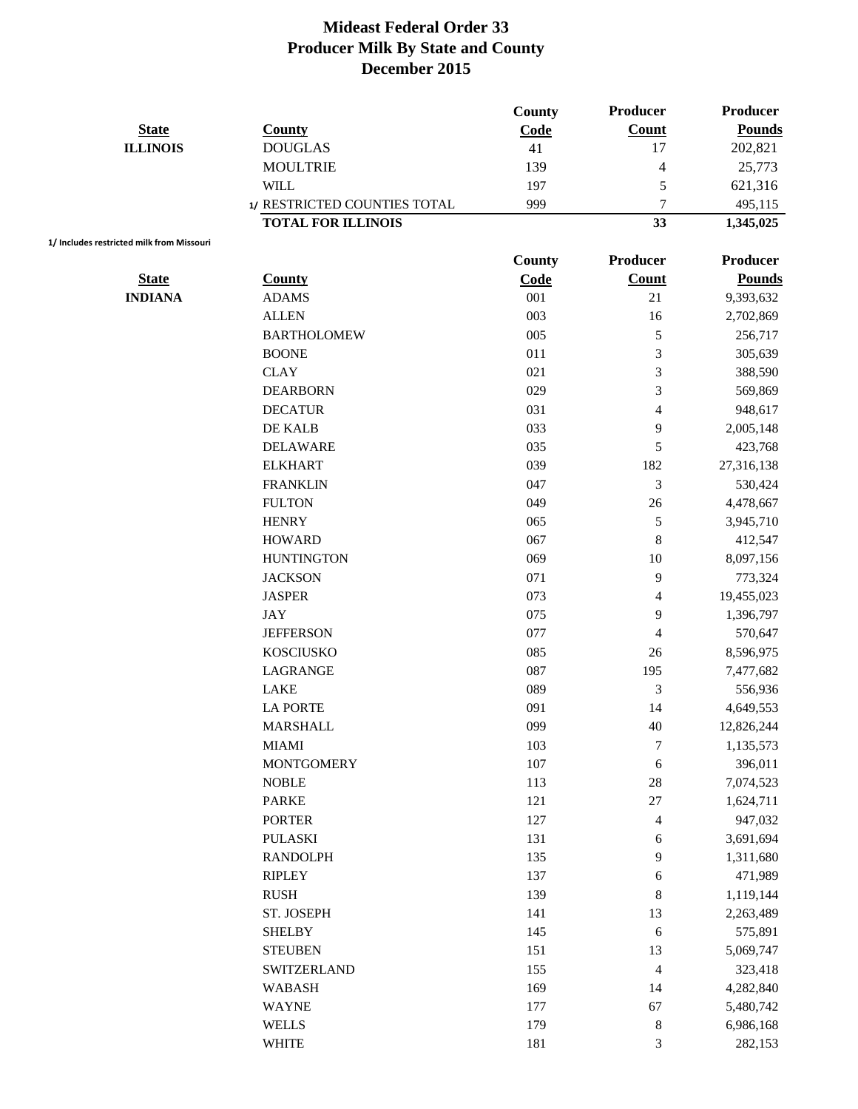|                 |                              | County | <b>Producer</b> | Producer      |
|-----------------|------------------------------|--------|-----------------|---------------|
| <b>State</b>    | <b>County</b>                | Code   | <b>Count</b>    | <b>Pounds</b> |
| <b>ILLINOIS</b> | <b>DOUGLAS</b>               | 41     | 17              | 202,821       |
|                 | <b>MOULTRIE</b>              | 139    | 4               | 25,773        |
|                 | WILL                         | 197    | C               | 621,316       |
|                 | 1/ RESTRICTED COUNTIES TOTAL | 999    | $\mathbf{r}$    | 495.115       |
|                 | <b>TOTAL FOR ILLINOIS</b>    |        | 33              | 1,345,025     |

**1/ Includes restricted milk from Missouri**

|                |                    | <b>County</b> | Producer                 | <b>Producer</b> |
|----------------|--------------------|---------------|--------------------------|-----------------|
| <b>State</b>   | <b>County</b>      | Code          | <b>Count</b>             | <b>Pounds</b>   |
| <b>INDIANA</b> | <b>ADAMS</b>       | $001\,$       | 21                       | 9,393,632       |
|                | <b>ALLEN</b>       | 003           | 16                       | 2,702,869       |
|                | <b>BARTHOLOMEW</b> | 005           | 5                        | 256,717         |
|                | <b>BOONE</b>       | 011           | 3                        | 305,639         |
|                | <b>CLAY</b>        | 021           | 3                        | 388,590         |
|                | <b>DEARBORN</b>    | 029           | 3                        | 569,869         |
|                | <b>DECATUR</b>     | 031           | $\overline{\mathcal{L}}$ | 948,617         |
|                | DE KALB            | 033           | 9                        | 2,005,148       |
|                | <b>DELAWARE</b>    | 035           | 5                        | 423,768         |
|                | <b>ELKHART</b>     | 039           | 182                      | 27,316,138      |
|                | <b>FRANKLIN</b>    | 047           | 3                        | 530,424         |
|                | <b>FULTON</b>      | 049           | 26                       | 4,478,667       |
|                | <b>HENRY</b>       | 065           | 5                        | 3,945,710       |
|                | <b>HOWARD</b>      | 067           | $\,$ $\,$                | 412,547         |
|                | <b>HUNTINGTON</b>  | 069           | 10                       | 8,097,156       |
|                | <b>JACKSON</b>     | 071           | 9                        | 773,324         |
|                | <b>JASPER</b>      | 073           | 4                        | 19,455,023      |
|                | <b>JAY</b>         | 075           | 9                        | 1,396,797       |
|                | <b>JEFFERSON</b>   | 077           | 4                        | 570,647         |
|                | <b>KOSCIUSKO</b>   | 085           | 26                       | 8,596,975       |
|                | <b>LAGRANGE</b>    | 087           | 195                      | 7,477,682       |
|                | LAKE               | 089           | $\mathfrak{Z}$           | 556,936         |
|                | <b>LA PORTE</b>    | 091           | 14                       | 4,649,553       |
|                | <b>MARSHALL</b>    | 099           | 40                       | 12,826,244      |
|                | <b>MIAMI</b>       | 103           | 7                        | 1,135,573       |
|                | <b>MONTGOMERY</b>  | 107           | 6                        | 396,011         |
|                | <b>NOBLE</b>       | 113           | 28                       | 7,074,523       |
|                | <b>PARKE</b>       | 121           | 27                       | 1,624,711       |
|                | <b>PORTER</b>      | 127           | 4                        | 947,032         |
|                | <b>PULASKI</b>     | 131           | 6                        | 3,691,694       |
|                | <b>RANDOLPH</b>    | 135           | 9                        | 1,311,680       |
|                | RIPLEY             | 137           | 6                        | 471,989         |
|                | <b>RUSH</b>        | 139           | $\,$ 8 $\,$              | 1,119,144       |
|                | ST. JOSEPH         | 141           | 13                       | 2,263,489       |
|                | <b>SHELBY</b>      | 145           | $\sqrt{6}$               | 575,891         |
|                | <b>STEUBEN</b>     | 151           | 13                       | 5,069,747       |
|                | SWITZERLAND        | 155           | 4                        | 323,418         |
|                | <b>WABASH</b>      | 169           | 14                       | 4,282,840       |
|                | <b>WAYNE</b>       | 177           | 67                       | 5,480,742       |
|                | <b>WELLS</b>       | 179           | $\,8\,$                  | 6,986,168       |
|                | <b>WHITE</b>       | 181           | 3                        | 282,153         |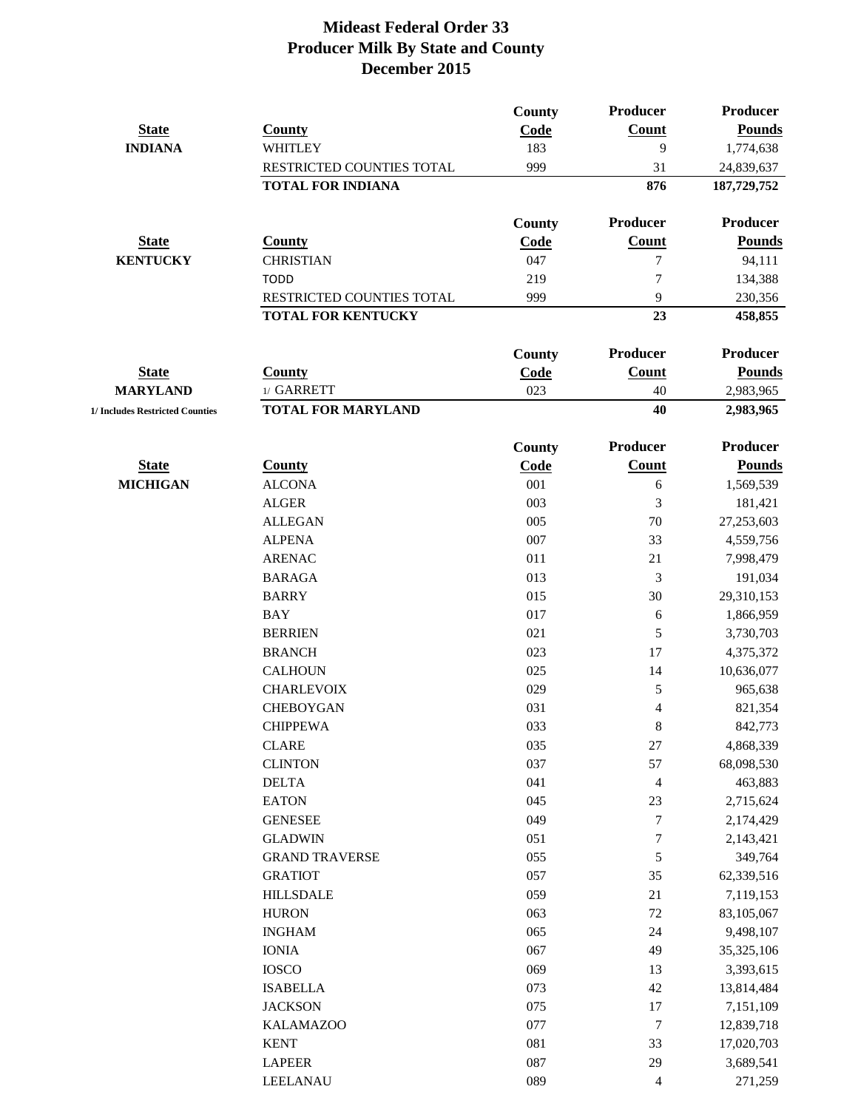|                                 |                           | County        | Producer       | Producer      |
|---------------------------------|---------------------------|---------------|----------------|---------------|
| <b>State</b>                    | <b>County</b>             | Code          | <b>Count</b>   | <b>Pounds</b> |
| <b>INDIANA</b>                  | WHITLEY                   | 183           | 9              | 1,774,638     |
|                                 | RESTRICTED COUNTIES TOTAL | 999           | 31             | 24,839,637    |
|                                 | <b>TOTAL FOR INDIANA</b>  |               | 876            | 187,729,752   |
|                                 |                           | <b>County</b> | Producer       | Producer      |
| <b>State</b>                    | <b>County</b>             | Code          | Count          | <b>Pounds</b> |
| <b>KENTUCKY</b>                 | <b>CHRISTIAN</b>          | 047           | 7              | 94,111        |
|                                 | <b>TODD</b>               | 219           | 7              | 134,388       |
|                                 | RESTRICTED COUNTIES TOTAL | 999           | 9              | 230,356       |
|                                 | <b>TOTAL FOR KENTUCKY</b> |               | 23             | 458,855       |
|                                 |                           | <b>County</b> | Producer       | Producer      |
| <b>State</b>                    | <b>County</b>             | Code          | Count          | <b>Pounds</b> |
| <b>MARYLAND</b>                 | 1/ GARRETT                | 023           | 40             | 2,983,965     |
| 1/ Includes Restricted Counties | <b>TOTAL FOR MARYLAND</b> |               | 40             | 2,983,965     |
|                                 |                           | County        | Producer       | Producer      |
| <b>State</b>                    | <b>County</b>             | Code          | <b>Count</b>   | <b>Pounds</b> |
| <b>MICHIGAN</b>                 | <b>ALCONA</b>             | 001           | $\epsilon$     | 1,569,539     |
|                                 | <b>ALGER</b>              | 003           | 3              | 181,421       |
|                                 | <b>ALLEGAN</b>            | 005           | 70             | 27,253,603    |
|                                 | <b>ALPENA</b>             | 007           | 33             | 4,559,756     |
|                                 | <b>ARENAC</b>             | 011           | 21             | 7,998,479     |
|                                 | <b>BARAGA</b>             | 013           | 3              | 191,034       |
|                                 | <b>BARRY</b>              | 015           | 30             | 29,310,153    |
|                                 | <b>BAY</b>                | 017           | 6              | 1,866,959     |
|                                 | <b>BERRIEN</b>            | 021           | 5              | 3,730,703     |
|                                 | <b>BRANCH</b>             | 023           | 17             | 4,375,372     |
|                                 | <b>CALHOUN</b>            | 025           | 14             | 10,636,077    |
|                                 | <b>CHARLEVOIX</b>         | 029           | 5              | 965,638       |
|                                 | <b>CHEBOYGAN</b>          | 031           | 4              | 821,354       |
|                                 | <b>CHIPPEWA</b>           | 033           | $\,8\,$        | 842,773       |
|                                 | <b>CLARE</b>              | 035           | $27\,$         | 4,868,339     |
|                                 | <b>CLINTON</b>            | 037           | 57             | 68,098,530    |
|                                 | <b>DELTA</b>              | 041           | 4              | 463,883       |
|                                 | <b>EATON</b>              | 045           | 23             | 2,715,624     |
|                                 | <b>GENESEE</b>            | 049           | 7              | 2,174,429     |
|                                 | <b>GLADWIN</b>            | 051           | 7              | 2,143,421     |
|                                 | <b>GRAND TRAVERSE</b>     | 055           | $\mathfrak s$  | 349,764       |
|                                 | <b>GRATIOT</b>            | 057           | 35             | 62,339,516    |
|                                 | <b>HILLSDALE</b>          | 059           | 21             | 7,119,153     |
|                                 | <b>HURON</b>              | 063           | $72\,$         | 83,105,067    |
|                                 | <b>INGHAM</b>             | 065           | 24             | 9,498,107     |
|                                 | <b>IONIA</b>              | 067           | 49             | 35,325,106    |
|                                 | <b>IOSCO</b>              | 069           | 13             | 3,393,615     |
|                                 | <b>ISABELLA</b>           | 073           | 42             | 13,814,484    |
|                                 | <b>JACKSON</b>            | 075           | 17             | 7,151,109     |
|                                 | <b>KALAMAZOO</b>          | 077           | 7              | 12,839,718    |
|                                 | <b>KENT</b>               | 081           | 33             | 17,020,703    |
|                                 | <b>LAPEER</b>             | 087           | 29             | 3,689,541     |
|                                 | <b>LEELANAU</b>           | 089           | $\overline{4}$ | 271,259       |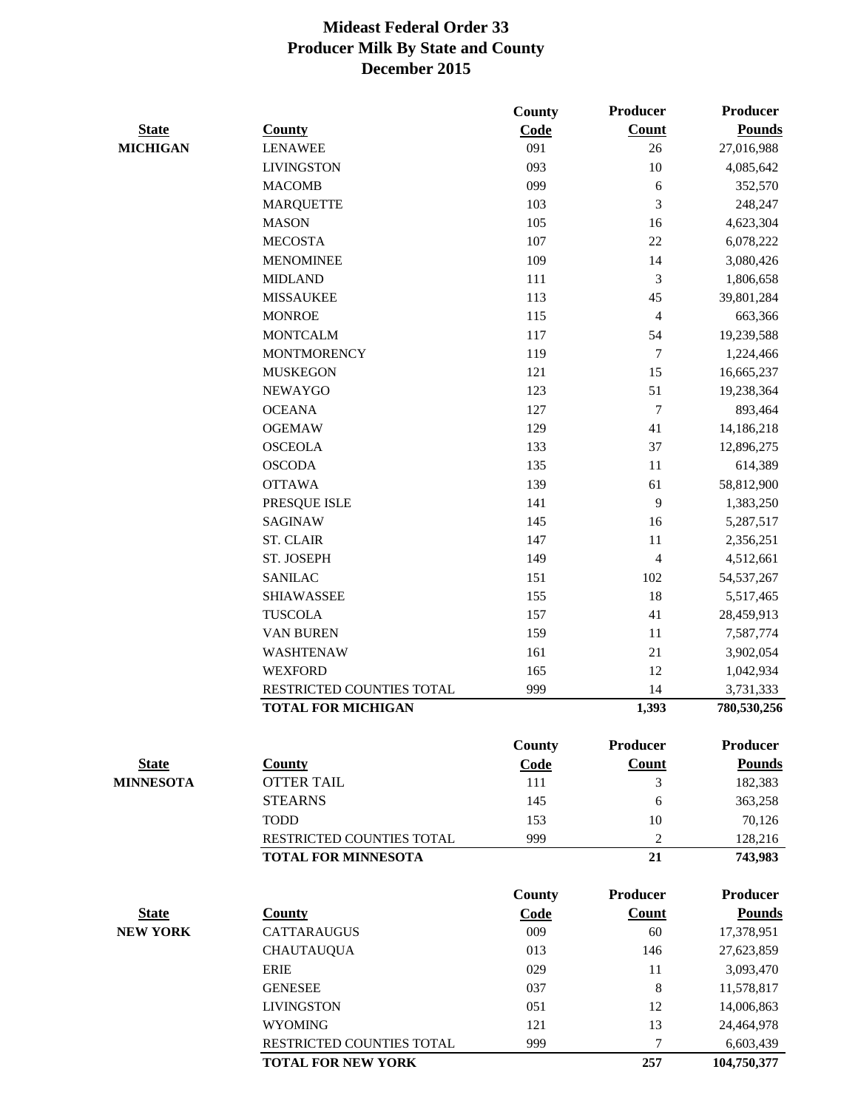|                  |                            | <b>County</b> | Producer        | Producer        |
|------------------|----------------------------|---------------|-----------------|-----------------|
| <b>State</b>     | <b>County</b>              | Code          | Count           | <b>Pounds</b>   |
| <b>MICHIGAN</b>  | <b>LENAWEE</b>             | 091           | 26              | 27,016,988      |
|                  | <b>LIVINGSTON</b>          | 093           | $10\,$          | 4,085,642       |
|                  | <b>MACOMB</b>              | 099           | 6               | 352,570         |
|                  | <b>MARQUETTE</b>           | 103           | 3               | 248,247         |
|                  | <b>MASON</b>               | 105           | 16              | 4,623,304       |
|                  | <b>MECOSTA</b>             | 107           | 22              | 6,078,222       |
|                  | <b>MENOMINEE</b>           | 109           | 14              | 3,080,426       |
|                  | <b>MIDLAND</b>             | 111           | $\mathfrak{Z}$  | 1,806,658       |
|                  | <b>MISSAUKEE</b>           | 113           | 45              | 39,801,284      |
|                  | <b>MONROE</b>              | 115           | 4               | 663,366         |
|                  | <b>MONTCALM</b>            | 117           | 54              | 19,239,588      |
|                  | <b>MONTMORENCY</b>         | 119           | 7               | 1,224,466       |
|                  | <b>MUSKEGON</b>            | 121           | 15              | 16,665,237      |
|                  | <b>NEWAYGO</b>             | 123           | 51              | 19,238,364      |
|                  | <b>OCEANA</b>              | 127           | 7               | 893,464         |
|                  | <b>OGEMAW</b>              | 129           | 41              | 14,186,218      |
|                  | <b>OSCEOLA</b>             | 133           | 37              | 12,896,275      |
|                  | <b>OSCODA</b>              | 135           | 11              | 614,389         |
|                  | <b>OTTAWA</b>              | 139           | 61              | 58,812,900      |
|                  | PRESQUE ISLE               | 141           | 9               | 1,383,250       |
|                  | <b>SAGINAW</b>             | 145           | 16              | 5,287,517       |
|                  | <b>ST. CLAIR</b>           | 147           | 11              | 2,356,251       |
|                  | ST. JOSEPH                 | 149           | 4               | 4,512,661       |
|                  | <b>SANILAC</b>             | 151           | 102             | 54, 537, 267    |
|                  | <b>SHIAWASSEE</b>          | 155           | 18              | 5,517,465       |
|                  | <b>TUSCOLA</b>             | 157           | 41              | 28,459,913      |
|                  | <b>VAN BUREN</b>           | 159           | 11              | 7,587,774       |
|                  | WASHTENAW                  | 161           | 21              | 3,902,054       |
|                  | <b>WEXFORD</b>             | 165           | 12              | 1,042,934       |
|                  | RESTRICTED COUNTIES TOTAL  | 999           | 14              | 3,731,333       |
|                  | <b>TOTAL FOR MICHIGAN</b>  |               | 1,393           | 780,530,256     |
|                  |                            | <b>County</b> | Producer        | <b>Producer</b> |
| <b>State</b>     | <b>County</b>              | Code          | <b>Count</b>    | <b>Pounds</b>   |
| <b>MINNESOTA</b> | <b>OTTER TAIL</b>          | 111           | 3               | 182,383         |
|                  | <b>STEARNS</b>             | 145           | 6               | 363,258         |
|                  | <b>TODD</b>                | 153           | 10              | 70,126          |
|                  | RESTRICTED COUNTIES TOTAL  | 999           | 2               | 128,216         |
|                  | <b>TOTAL FOR MINNESOTA</b> |               | 21              | 743,983         |
|                  |                            | <b>County</b> | <b>Producer</b> | <b>Producer</b> |
| <b>State</b>     | <b>County</b>              | Code          | <b>Count</b>    | <b>Pounds</b>   |
| <b>NEW YORK</b>  | <b>CATTARAUGUS</b>         | 009           | 60              | 17,378,951      |
|                  | <b>CHAUTAUQUA</b>          | 013           | 146             | 27,623,859      |
|                  | <b>ERIE</b>                | 029           | 11              | 3,093,470       |
|                  | <b>GENESEE</b>             | 037           | 8               | 11,578,817      |
|                  | <b>LIVINGSTON</b>          | 051           | 12              | 14,006,863      |
|                  | <b>WYOMING</b>             | 121           | 13              | 24,464,978      |
|                  | RESTRICTED COUNTIES TOTAL  | 999           | 7               | 6,603,439       |
|                  | <b>TOTAL FOR NEW YORK</b>  |               | 257             | 104,750,377     |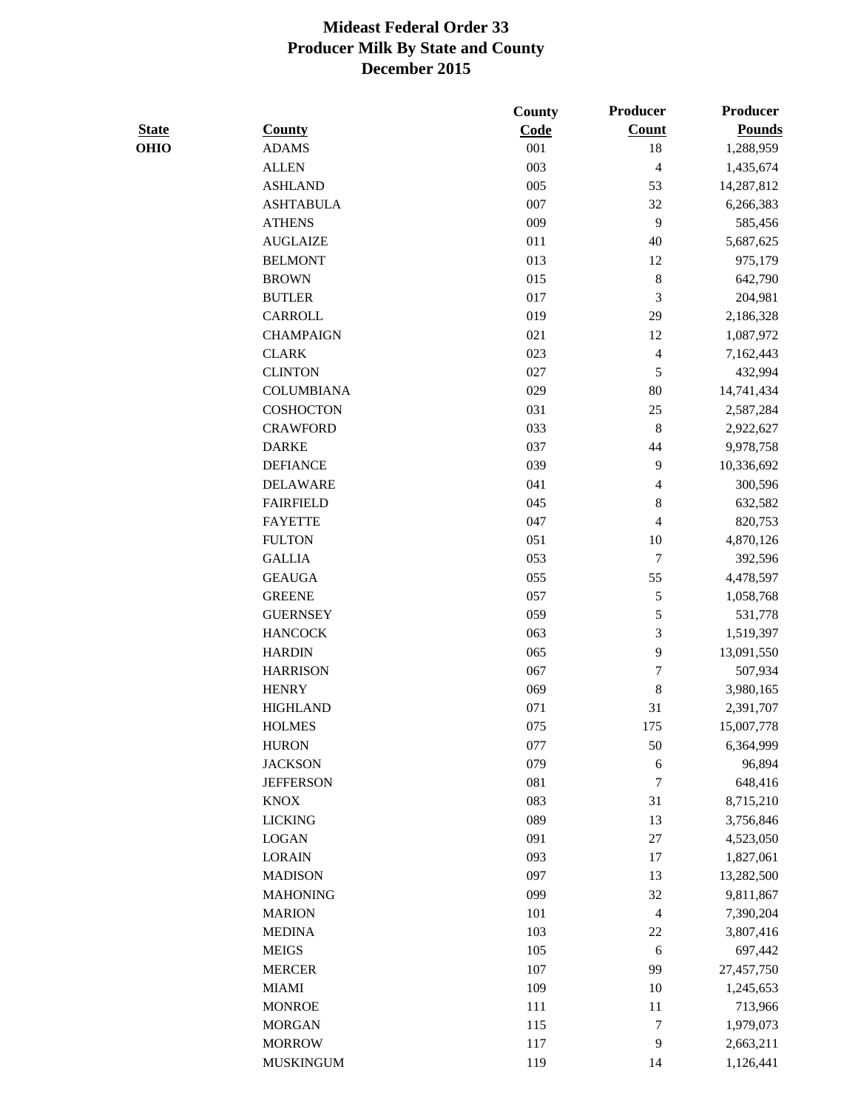|              |                   | County | <b>Producer</b>          | <b>Producer</b> |
|--------------|-------------------|--------|--------------------------|-----------------|
| <b>State</b> | <b>County</b>     | Code   | <b>Count</b>             | <b>Pounds</b>   |
| <b>OHIO</b>  | <b>ADAMS</b>      | 001    | 18                       | 1,288,959       |
|              | <b>ALLEN</b>      | 003    | $\overline{\mathcal{L}}$ | 1,435,674       |
|              | <b>ASHLAND</b>    | 005    | 53                       | 14,287,812      |
|              | <b>ASHTABULA</b>  | 007    | 32                       | 6,266,383       |
|              | <b>ATHENS</b>     | 009    | 9                        | 585,456         |
|              | <b>AUGLAIZE</b>   | 011    | 40                       | 5,687,625       |
|              | <b>BELMONT</b>    | 013    | 12                       | 975,179         |
|              | <b>BROWN</b>      | 015    | $\,8\,$                  | 642,790         |
|              | <b>BUTLER</b>     | 017    | $\mathfrak{Z}$           | 204,981         |
|              | CARROLL           | 019    | 29                       | 2,186,328       |
|              | <b>CHAMPAIGN</b>  | 021    | 12                       | 1,087,972       |
|              | <b>CLARK</b>      | 023    | 4                        | 7,162,443       |
|              | <b>CLINTON</b>    | 027    | 5                        | 432,994         |
|              | <b>COLUMBIANA</b> | 029    | 80                       | 14,741,434      |
|              | <b>COSHOCTON</b>  | 031    | $25\,$                   | 2,587,284       |
|              | <b>CRAWFORD</b>   | 033    | $\,8\,$                  | 2,922,627       |
|              | <b>DARKE</b>      | 037    | 44                       | 9,978,758       |
|              | <b>DEFIANCE</b>   | 039    | 9                        | 10,336,692      |
|              | <b>DELAWARE</b>   | 041    | 4                        | 300,596         |
|              | <b>FAIRFIELD</b>  | 045    | $\,$ 8 $\,$              | 632,582         |
|              | <b>FAYETTE</b>    | 047    | 4                        | 820,753         |
|              | <b>FULTON</b>     | 051    | 10                       | 4,870,126       |
|              | <b>GALLIA</b>     | 053    | $\tau$                   | 392,596         |
|              | <b>GEAUGA</b>     | 055    | 55                       | 4,478,597       |
|              | <b>GREENE</b>     | 057    | $\sqrt{5}$               | 1,058,768       |
|              | <b>GUERNSEY</b>   | 059    | $\mathfrak s$            | 531,778         |
|              | <b>HANCOCK</b>    | 063    | 3                        | 1,519,397       |
|              | <b>HARDIN</b>     | 065    | 9                        | 13,091,550      |
|              | <b>HARRISON</b>   | 067    | 7                        | 507,934         |
|              | <b>HENRY</b>      | 069    | $\,$ 8 $\,$              | 3,980,165       |
|              | <b>HIGHLAND</b>   | 071    | 31                       | 2,391,707       |
|              | <b>HOLMES</b>     | 075    | 175                      | 15,007,778      |
|              | <b>HURON</b>      | 077    | 50                       | 6,364,999       |
|              | <b>JACKSON</b>    | 079    | 6                        | 96,894          |
|              | <b>JEFFERSON</b>  | 081    | $\tau$                   | 648,416         |
|              | <b>KNOX</b>       | 083    | 31                       | 8,715,210       |
|              | <b>LICKING</b>    | 089    | 13                       | 3,756,846       |
|              | <b>LOGAN</b>      | 091    | $27\,$                   | 4,523,050       |
|              | <b>LORAIN</b>     | 093    | $17\,$                   | 1,827,061       |
|              | <b>MADISON</b>    | 097    | 13                       | 13,282,500      |
|              | <b>MAHONING</b>   | 099    | 32                       | 9,811,867       |
|              | <b>MARION</b>     | 101    | $\overline{4}$           | 7,390,204       |
|              | <b>MEDINA</b>     | 103    | $22\,$                   | 3,807,416       |
|              | <b>MEIGS</b>      | 105    | 6                        | 697,442         |
|              | <b>MERCER</b>     | 107    | 99                       | 27,457,750      |
|              | <b>MIAMI</b>      | 109    | 10                       | 1,245,653       |
|              | <b>MONROE</b>     | 111    | 11                       | 713,966         |
|              | <b>MORGAN</b>     | 115    | $\boldsymbol{7}$         | 1,979,073       |
|              | <b>MORROW</b>     | 117    | 9                        | 2,663,211       |
|              | <b>MUSKINGUM</b>  | 119    | 14                       | 1,126,441       |
|              |                   |        |                          |                 |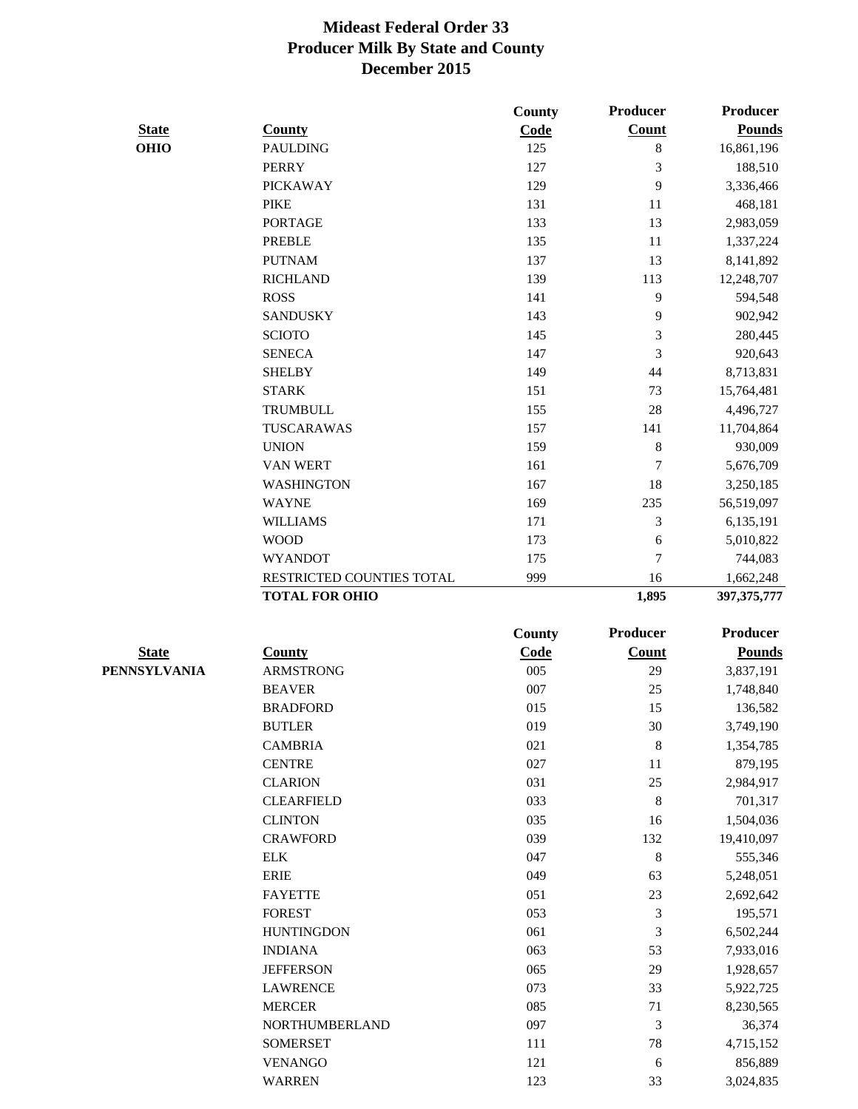|                     |                           | <b>County</b> | Producer       | <b>Producer</b> |
|---------------------|---------------------------|---------------|----------------|-----------------|
| <b>State</b>        | <b>County</b>             | Code          | Count          | <b>Pounds</b>   |
| <b>OHIO</b>         | <b>PAULDING</b>           | 125           | 8              | 16,861,196      |
|                     | <b>PERRY</b>              | 127           | 3              | 188,510         |
|                     | <b>PICKAWAY</b>           | 129           | 9              | 3,336,466       |
|                     | <b>PIKE</b>               | 131           | 11             | 468,181         |
|                     | <b>PORTAGE</b>            | 133           | 13             | 2,983,059       |
|                     | <b>PREBLE</b>             | 135           | 11             | 1,337,224       |
|                     | <b>PUTNAM</b>             | 137           | 13             | 8,141,892       |
|                     | <b>RICHLAND</b>           | 139           | 113            | 12,248,707      |
|                     | <b>ROSS</b>               | 141           | 9              | 594,548         |
|                     | <b>SANDUSKY</b>           | 143           | 9              | 902,942         |
|                     | <b>SCIOTO</b>             | 145           | 3              | 280,445         |
|                     | <b>SENECA</b>             | 147           | 3              | 920,643         |
|                     | <b>SHELBY</b>             | 149           | 44             | 8,713,831       |
|                     | <b>STARK</b>              | 151           | 73             | 15,764,481      |
|                     | <b>TRUMBULL</b>           | 155           | 28             | 4,496,727       |
|                     | TUSCARAWAS                | 157           | 141            | 11,704,864      |
|                     | <b>UNION</b>              | 159           | $\,$ 8 $\,$    | 930,009         |
|                     | VAN WERT                  | 161           | 7              | 5,676,709       |
|                     | <b>WASHINGTON</b>         | 167           | 18             | 3,250,185       |
|                     | <b>WAYNE</b>              | 169           | 235            | 56,519,097      |
|                     | <b>WILLIAMS</b>           | 171           | 3              | 6,135,191       |
|                     | <b>WOOD</b>               | 173           | 6              | 5,010,822       |
|                     | <b>WYANDOT</b>            | 175           | 7              | 744,083         |
|                     | RESTRICTED COUNTIES TOTAL | 999           | 16             | 1,662,248       |
|                     | <b>TOTAL FOR OHIO</b>     |               | 1,895          | 397, 375, 777   |
|                     |                           | <b>County</b> | Producer       | <b>Producer</b> |
| <b>State</b>        | <b>County</b>             | Code          | <b>Count</b>   | <b>Pounds</b>   |
| <b>PENNSYLVANIA</b> | <b>ARMSTRONG</b>          | 005           | 29             | 3,837,191       |
|                     | <b>BEAVER</b>             | 007           | 25             | 1,748,840       |
|                     | <b>BRADFORD</b>           | 015           | 15             | 136,582         |
|                     | <b>BUTLER</b>             | 019           | 30             | 3,749,190       |
|                     | <b>CAMBRIA</b>            | 021           | $\,8\,$        |                 |
|                     |                           |               |                | 1,354,785       |
|                     | <b>CENTRE</b>             | 027           | 11             | 879,195         |
|                     | <b>CLARION</b>            | 031           | $25\,$         | 2,984,917       |
|                     | <b>CLEARFIELD</b>         | 033           | $\,8\,$        | 701,317         |
|                     | <b>CLINTON</b>            | 035           | 16             | 1,504,036       |
|                     | <b>CRAWFORD</b>           | 039           | 132            | 19,410,097      |
|                     | <b>ELK</b>                | 047           | $\,8\,$        | 555,346         |
|                     | ERIE                      | 049           | 63             | 5,248,051       |
|                     | <b>FAYETTE</b>            | 051           | 23             | 2,692,642       |
|                     | <b>FOREST</b>             | 053           | 3              | 195,571         |
|                     | <b>HUNTINGDON</b>         | 061           | 3              | 6,502,244       |
|                     | <b>INDIANA</b>            | 063           | 53             | 7,933,016       |
|                     | <b>JEFFERSON</b>          | 065           | 29             | 1,928,657       |
|                     | <b>LAWRENCE</b>           | 073           | 33             | 5,922,725       |
|                     | <b>MERCER</b>             | 085           | 71             | 8,230,565       |
|                     | NORTHUMBERLAND            | 097           | $\mathfrak{Z}$ | 36,374          |
|                     | <b>SOMERSET</b>           | 111           | $78\,$         | 4,715,152       |
|                     | <b>VENANGO</b>            | 121           | 6              | 856,889         |
|                     | <b>WARREN</b>             | 123           | 33             | 3,024,835       |